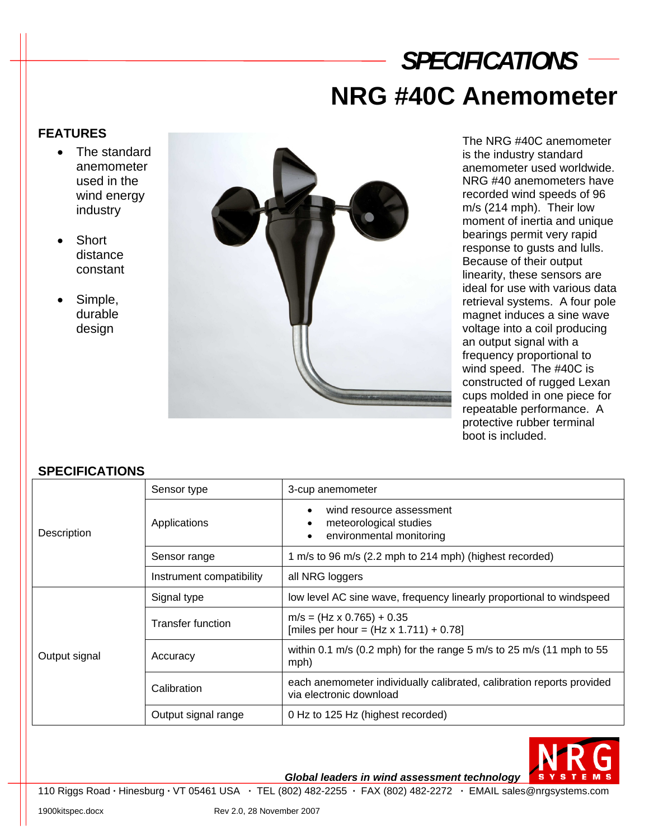## *SPECIFICATIONS* **NRG #40C Anemometer**

## **FEATURES**

- The standard anemometer used in the wind energy industry
- Short distance constant
- Simple, durable design



The NRG #40C anemometer is the industry standard anemometer used worldwide. NRG #40 anemometers have recorded wind speeds of 96 m/s (214 mph). Their low moment of inertia and unique bearings permit very rapid response to gusts and lulls. Because of their output linearity, these sensors are ideal for use with various data retrieval systems. A four pole magnet induces a sine wave voltage into a coil producing an output signal with a frequency proportional to wind speed. The #40C is constructed of rugged Lexan cups molded in one piece for repeatable performance. A protective rubber terminal boot is included.

## **SPECIFICATIONS**

| Description   | Sensor type              | 3-cup anemometer                                                                                 |
|---------------|--------------------------|--------------------------------------------------------------------------------------------------|
|               | Applications             | wind resource assessment<br>meteorological studies<br>environmental monitoring                   |
|               | Sensor range             | 1 m/s to 96 m/s (2.2 mph to 214 mph) (highest recorded)                                          |
|               | Instrument compatibility | all NRG loggers                                                                                  |
| Output signal | Signal type              | low level AC sine wave, frequency linearly proportional to windspeed                             |
|               | <b>Transfer function</b> | $m/s = (Hz \times 0.765) + 0.35$<br>[miles per hour = $(Hz \times 1.711) + 0.78$ ]               |
|               | Accuracy                 | within 0.1 m/s (0.2 mph) for the range 5 m/s to 25 m/s (11 mph to 55<br>mph)                     |
|               | Calibration              | each anemometer individually calibrated, calibration reports provided<br>via electronic download |
|               | Output signal range      | 0 Hz to 125 Hz (highest recorded)                                                                |



*Global leaders in wind assessment technology* 

110 Riggs Road **·** Hinesburg **·** VT 05461 USA **·** TEL (802) 482-2255 **·** FAX (802) 482-2272 **·** EMAIL sales@nrgsystems.com